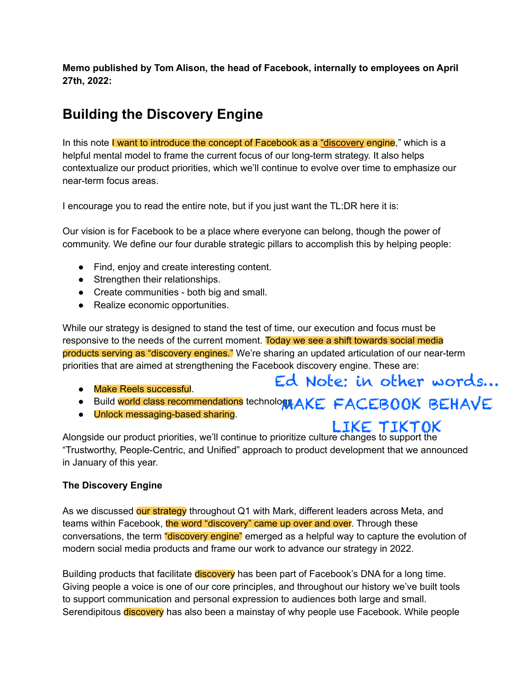**Memo published by Tom Alison, the head of Facebook, internally to employees on April 27th, 2022:**

# **Building the Discovery Engine**

In this note I want to introduce the concept of Facebook as a "discovery engine," which is a helpful mental model to frame the current focus of our long-term strategy. It also helps contextualize our product priorities, which we'll continue to evolve over time to emphasize our near-term focus areas.

I encourage you to read the entire note, but if you just want the TL:DR here it is:

Our vision is for Facebook to be a place where everyone can belong, though the power of community. We define our four durable strategic pillars to accomplish this by helping people:

- Find, enjoy and create interesting content.
- Strengthen their relationships.
- Create communities both big and small.
- Realize economic opportunities.

While our strategy is designed to stand the test of time, our execution and focus must be responsive to the needs of the current moment. Today we see a shift towards social media products serving as "discovery engines." We're sharing an updated articulation of our near-term priorities that are aimed at strengthening the Facebook discovery engine. These are:

- Make Reels successful.
- Build world class recommendations technology. AKE FACEBOOK BEHAVE
- Unlock messaging-based sharing.

## LIKE TIKTOK

Ed Note: in other words…

Alongside our product priorities, we'll continue to prioritize culture changes to support the "Trustworthy, People-Centric, and Unified" approach to product development that we announced in January of this year.

#### **The Discovery Engine**

As we discussed our strategy throughout Q1 with Mark, different leaders across Meta, and teams within Facebook, the word "discovery" came up over and over. Through these conversations, the term "discovery engine" emerged as a helpful way to capture the evolution of modern social media products and frame our work to advance our strategy in 2022.

Building products that facilitate discovery has been part of Facebook's DNA for a long time. Giving people a voice is one of our core principles, and throughout our history we've built tools to support communication and personal expression to audiences both large and small. Serendipitous discovery has also been a mainstay of why people use Facebook. While people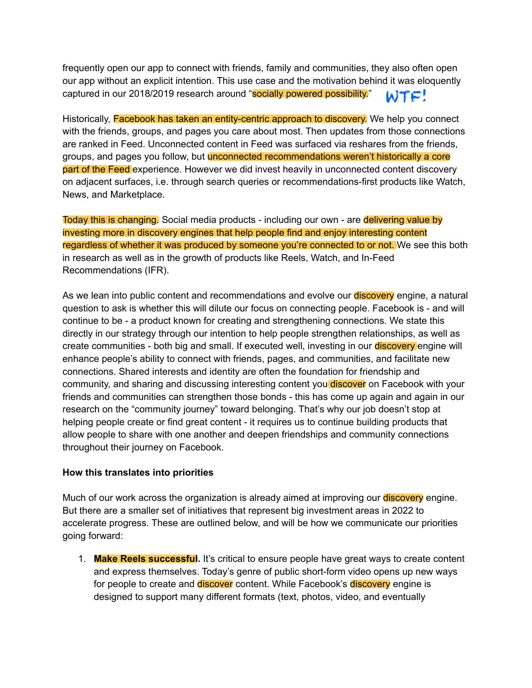frequently open our app to connect with friends, family and communities, they also often open our app without an explicit intention. This use case and the motivation behind it was eloquently captured in our 2018/2019 research around "socially powered possibility." WTF!

Historically, Facebook has taken an entity-centric approach to discovery. We help you connect with the friends, groups, and pages you care about most. Then updates from those connections are ranked in Feed. Unconnected content in Feed was surfaced via reshares from the friends, groups, and pages you follow, but **unconnected recommendations weren't historically a core** part of the Feed experience. However we did invest heavily in unconnected content discovery on adjacent surfaces, i.e. through search queries or recommendations-first products like Watch, News, and Marketplace.

Today this is changing. Social media products - including our own - are delivering value by investing more in discovery engines that help people find and enjoy interesting content regardless of whether it was produced by someone you're connected to or not. We see this both in research as well as in the growth of products like Reels, Watch, and In-Feed Recommendations (IFR).

As we lean into public content and recommendations and evolve our **discovery** engine, a natural question to ask is whether this will dilute our focus on connecting people. Facebook is - and will continue to be - a product known for creating and strengthening connections. We state this directly in our strategy through our intention to help people strengthen relationships, as well as create communities - both big and small. If executed well, investing in our **discovery** engine will enhance people's ability to connect with friends, pages, and communities, and facilitate new connections. Shared interests and identity are often the foundation for friendship and community, and sharing and discussing interesting content you discover on Facebook with your friends and communities can strengthen those bonds - this has come up again and again in our research on the "community journey" toward belonging. That's why our job doesn't stop at helping people create or find great content - it requires us to continue building products that allow people to share with one another and deepen friendships and community connections throughout their journey on Facebook.

#### **How this translates into priorities**

Much of our work across the organization is already aimed at improving our **discovery** engine. But there are a smaller set of initiatives that represent big investment areas in 2022 to accelerate progress. These are outlined below, and will be how we communicate our priorities going forward:

1. **Make Reels successful.** It's critical to ensure people have great ways to create content and express themselves. Today's genre of public short-form video opens up new ways for people to create and discover content. While Facebook's discovery engine is designed to support many different formats (text, photos, video, and eventually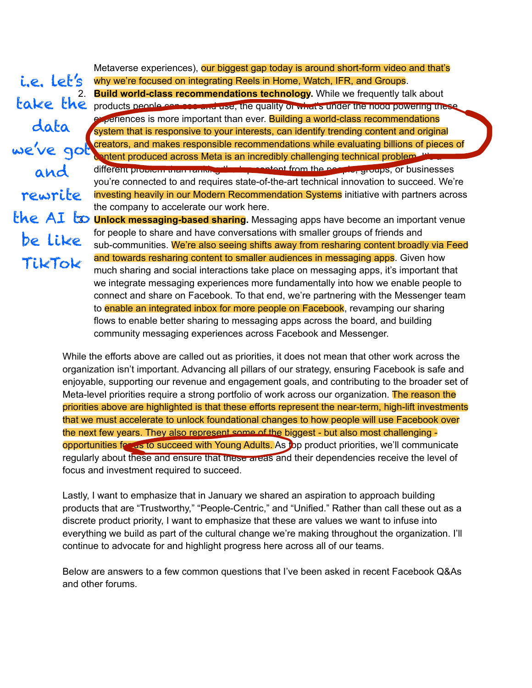Metaverse experiences), our biggest gap today is around short-form video and that's why we're focused on integrating Reels in Home, Watch, IFR, and Groups. 2. **Build world-class recommendations technology.** While we frequently talk about products people can see and use, the quality or what's under the nood powering these experiences is more important than ever. Building a world-class recommendations system that is responsive to your interests, can identify trending content and original creators, and makes responsible recommendations while evaluating billions of pieces of content produced across Meta is an incredibly challenging technical problem. Then different problem than ranking the top content from the people, groups, or businesses you're connected to and requires state-of-the-art technical innovation to succeed. We're investing heavily in our Modern Recommendation Systems initiative with partners across the company to accelerate our work here. the AI to **Unlock messaging-based sharing**. Messaging apps have become an important venue for people to share and have conversations with smaller groups of friends and sub-communities. We're also seeing shifts away from resharing content broadly via Feed and towards resharing content to smaller audiences in messaging apps. Given how much sharing and social interactions take place on messaging apps, it's important that we integrate messaging experiences more fundamentally into how we enable people to connect and share on Facebook. To that end, we're partnering with the Messenger team to enable an integrated inbox for more people on Facebook, revamping our sharing flows to enable better sharing to messaging apps across the board, and building community messaging experiences across Facebook and Messenger. i.e. let's take the data we've got and rewrite be like TikTok

> While the efforts above are called out as priorities, it does not mean that other work across the organization isn't important. Advancing all pillars of our strategy, ensuring Facebook is safe and enjoyable, supporting our revenue and engagement goals, and contributing to the broader set of Meta-level priorities require a strong portfolio of work across our organization. The reason the priorities above are highlighted is that these efforts represent the near-term, high-lift investments that we must accelerate to unlock foundational changes to how people will use Facebook over the next few years. They also represent some of the biggest - but also most challenging opportunities for us to succeed with Young Adults. As top product priorities, we'll communicate regularly about these and ensure that these areas and their dependencies receive the level of focus and investment required to succeed.

Lastly, I want to emphasize that in January we shared an aspiration to approach building products that are "Trustworthy," "People-Centric," and "Unified." Rather than call these out as a discrete product priority, I want to emphasize that these are values we want to infuse into everything we build as part of the cultural change we're making throughout the organization. I'll continue to advocate for and highlight progress here across all of our teams.

Below are answers to a few common questions that I've been asked in recent Facebook Q&As and other forums.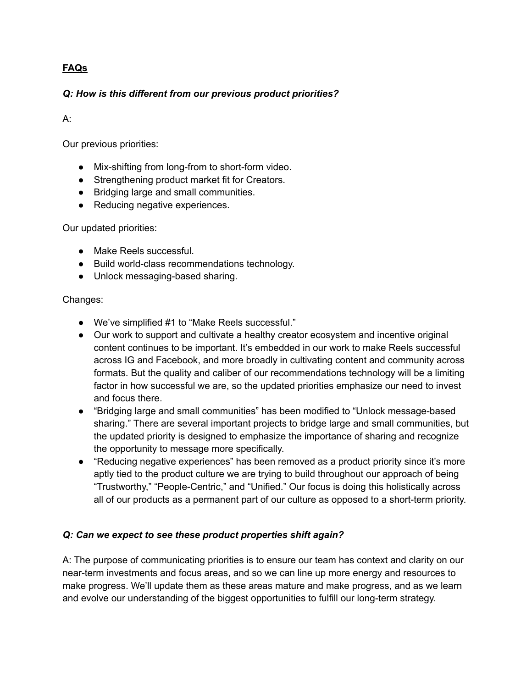## **FAQs**

#### *Q: How is this different from our previous product priorities?*

#### A:

Our previous priorities:

- Mix-shifting from long-from to short-form video.
- Strengthening product market fit for Creators.
- Bridging large and small communities.
- Reducing negative experiences.

Our updated priorities:

- Make Reels successful.
- Build world-class recommendations technology.
- Unlock messaging-based sharing.

#### Changes:

- We've simplified #1 to "Make Reels successful."
- Our work to support and cultivate a healthy creator ecosystem and incentive original content continues to be important. It's embedded in our work to make Reels successful across IG and Facebook, and more broadly in cultivating content and community across formats. But the quality and caliber of our recommendations technology will be a limiting factor in how successful we are, so the updated priorities emphasize our need to invest and focus there.
- "Bridging large and small communities" has been modified to "Unlock message-based sharing." There are several important projects to bridge large and small communities, but the updated priority is designed to emphasize the importance of sharing and recognize the opportunity to message more specifically.
- "Reducing negative experiences" has been removed as a product priority since it's more aptly tied to the product culture we are trying to build throughout our approach of being "Trustworthy," "People-Centric," and "Unified." Our focus is doing this holistically across all of our products as a permanent part of our culture as opposed to a short-term priority.

#### *Q: Can we expect to see these product properties shift again?*

A: The purpose of communicating priorities is to ensure our team has context and clarity on our near-term investments and focus areas, and so we can line up more energy and resources to make progress. We'll update them as these areas mature and make progress, and as we learn and evolve our understanding of the biggest opportunities to fulfill our long-term strategy.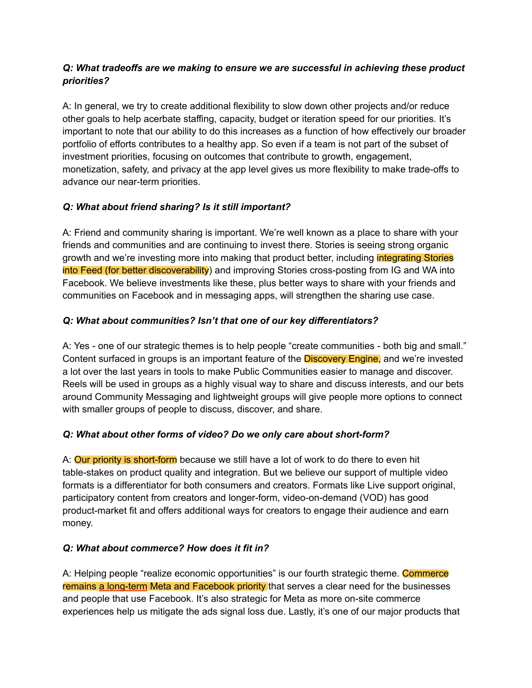#### *Q: What tradeoffs are we making to ensure we are successful in achieving these product priorities?*

A: In general, we try to create additional flexibility to slow down other projects and/or reduce other goals to help acerbate staffing, capacity, budget or iteration speed for our priorities. It's important to note that our ability to do this increases as a function of how effectively our broader portfolio of efforts contributes to a healthy app. So even if a team is not part of the subset of investment priorities, focusing on outcomes that contribute to growth, engagement, monetization, safety, and privacy at the app level gives us more flexibility to make trade-offs to advance our near-term priorities.

## *Q: What about friend sharing? Is it still important?*

A: Friend and community sharing is important. We're well known as a place to share with your friends and communities and are continuing to invest there. Stories is seeing strong organic growth and we're investing more into making that product better, including integrating Stories into Feed (for better discoverability) and improving Stories cross-posting from IG and WA into Facebook. We believe investments like these, plus better ways to share with your friends and communities on Facebook and in messaging apps, will strengthen the sharing use case.

## *Q: What about communities? Isn't that one of our key differentiators?*

A: Yes - one of our strategic themes is to help people "create communities - both big and small." Content surfaced in groups is an important feature of the **Discovery Engine**, and we're invested a lot over the last years in tools to make Public Communities easier to manage and discover. Reels will be used in groups as a highly visual way to share and discuss interests, and our bets around Community Messaging and lightweight groups will give people more options to connect with smaller groups of people to discuss, discover, and share.

#### *Q: What about other forms of video? Do we only care about short-form?*

A: Our priority is short-form because we still have a lot of work to do there to even hit table-stakes on product quality and integration. But we believe our support of multiple video formats is a differentiator for both consumers and creators. Formats like Live support original, participatory content from creators and longer-form, video-on-demand (VOD) has good product-market fit and offers additional ways for creators to engage their audience and earn money.

#### *Q: What about commerce? How does it fit in?*

A: Helping people "realize economic opportunities" is our fourth strategic theme. Commerce remains a long-term Meta and Facebook priority that serves a clear need for the businesses and people that use Facebook. It's also strategic for Meta as more on-site commerce experiences help us mitigate the ads signal loss due. Lastly, it's one of our major products that